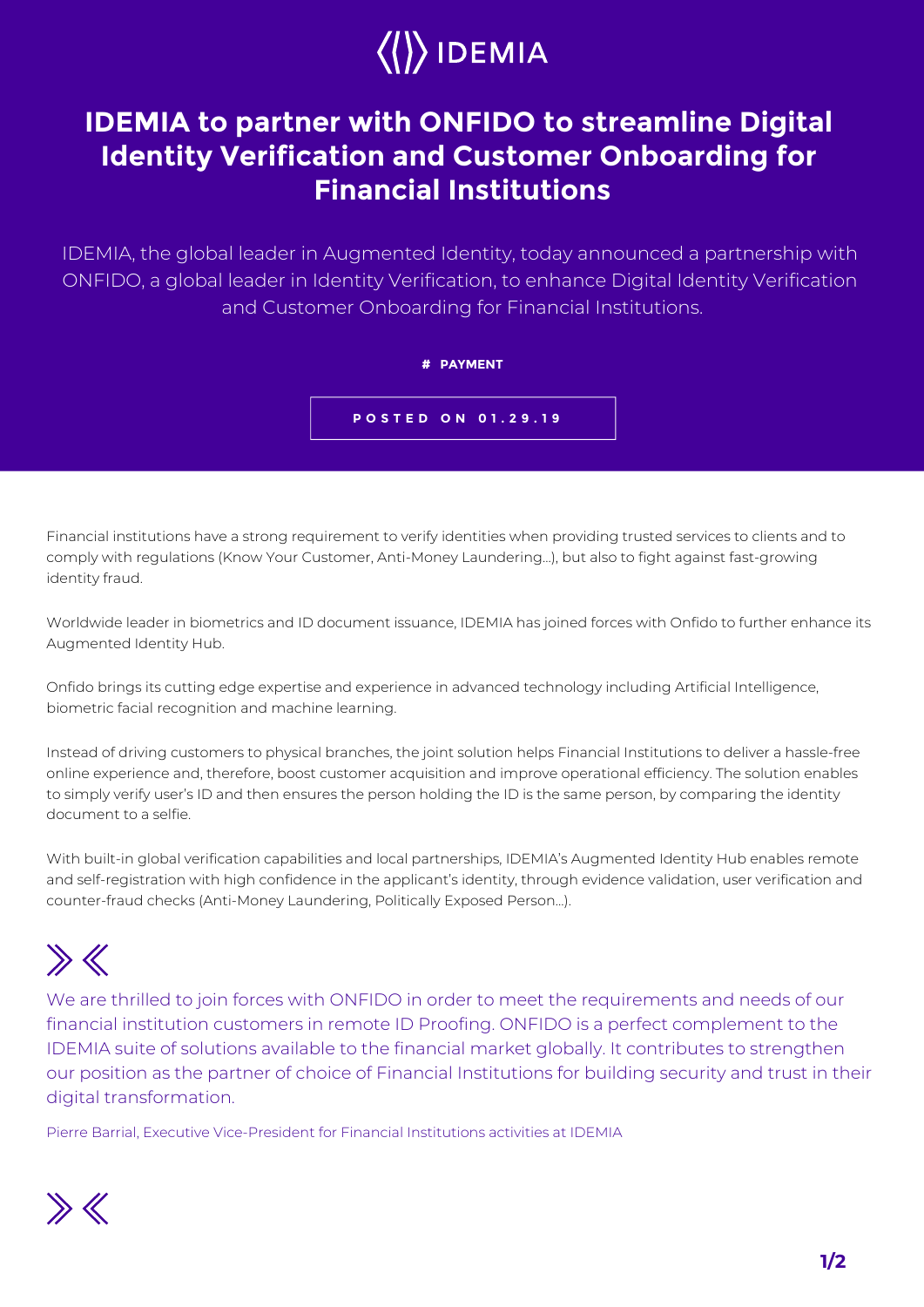# $\langle\langle\rangle\rangle$  IDEMIA

### **IDEMIA to partner with ONFIDO to streamline Digital Identity Verification and Customer Onboarding for Financial Institutions**

IDEMIA, the global leader in Augmented Identity, today announced a partnership with ONFIDO, a global leader in Identity Verification, to enhance Digital Identity Verification and Customer Onboarding for Financial Institutions.

#### **# PAYMENT**

**POSTED ON 01.29.19**

Financial institutions have a strong requirement to verify identities when providing trusted services to clients and to comply with regulations (Know Your Customer, Anti-Money Laundering…), but also to fight against fast-growing identity fraud.

Worldwide leader in biometrics and ID document issuance, IDEMIA has joined forces with Onfido to further enhance its Augmented Identity Hub.

Onfido brings its cutting edge expertise and experience in advanced technology including Artificial Intelligence, biometric facial recognition and machine learning.

Instead of driving customers to physical branches, the joint solution helps Financial Institutions to deliver a hassle-free online experience and, therefore, boost customer acquisition and improve operational efficiency. The solution enables to simply verify user's ID and then ensures the person holding the ID is the same person, by comparing the identity document to a selfie.

With built-in global verification capabilities and local partnerships, IDEMIA's Augmented Identity Hub enables remote and self-registration with high confidence in the applicant's identity, through evidence validation, user verification and counter-fraud checks (Anti-Money Laundering, Politically Exposed Person…).

## $\gg K$

We are thrilled to join forces with ONFIDO in order to meet the requirements and needs of our financial institution customers in remote ID Proofing. ONFIDO is a perfect complement to the IDEMIA suite of solutions available to the financial market globally. It contributes to strengthen our position as the partner of choice of Financial Institutions for building security and trust in their digital transformation.

Pierre Barrial, Executive Vice-President for Financial Institutions activities at IDEMIA